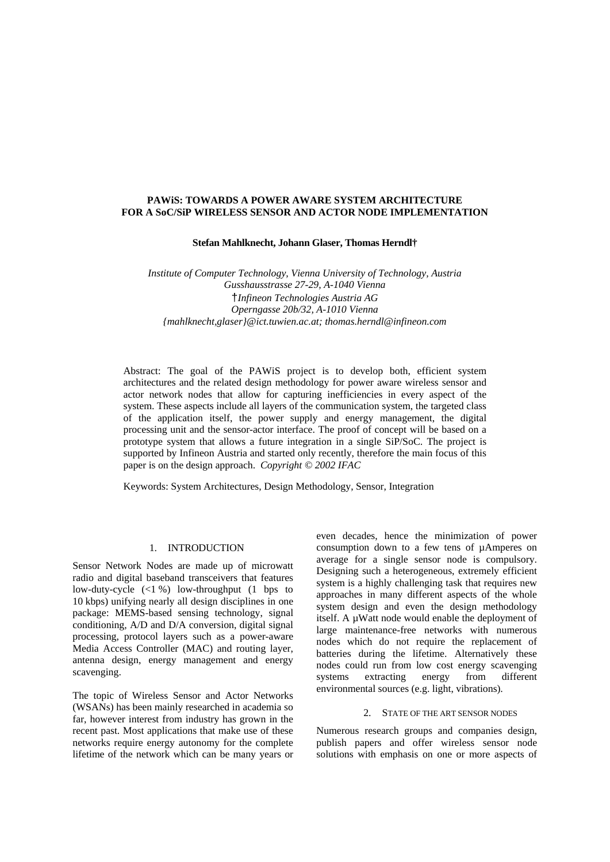## **PAWiS: TOWARDS A POWER AWARE SYSTEM ARCHITECTURE FOR A SoC/SiP WIRELESS SENSOR AND ACTOR NODE IMPLEMENTATION**

**Stefan Mahlknecht, Johann Glaser, Thomas Herndl†** 

*Institute of Computer Technology, Vienna University of Technology, Austria Gusshausstrasse 27-29, A-1040 Vienna*  †*Infineon Technologies Austria AG Operngasse 20b/32, A-1010 Vienna {mahlknecht,glaser}@ict.tuwien.ac.at; thomas.herndl@infineon.com* 

Abstract: The goal of the PAWiS project is to develop both, efficient system architectures and the related design methodology for power aware wireless sensor and actor network nodes that allow for capturing inefficiencies in every aspect of the system. These aspects include all layers of the communication system, the targeted class of the application itself, the power supply and energy management, the digital processing unit and the sensor-actor interface. The proof of concept will be based on a prototype system that allows a future integration in a single SiP/SoC. The project is supported by Infineon Austria and started only recently, therefore the main focus of this paper is on the design approach. *Copyright © 2002 IFAC* 

Keywords: System Architectures, Design Methodology, Sensor, Integration

# 1. INTRODUCTION

Sensor Network Nodes are made up of microwatt radio and digital baseband transceivers that features low-duty-cycle  $(<1%$ ) low-throughput (1 bps to 10 kbps) unifying nearly all design disciplines in one package: MEMS-based sensing technology, signal conditioning, A/D and D/A conversion, digital signal processing, protocol layers such as a power-aware Media Access Controller (MAC) and routing layer, antenna design, energy management and energy scavenging.

The topic of Wireless Sensor and Actor Networks (WSANs) has been mainly researched in academia so far, however interest from industry has grown in the recent past. Most applications that make use of these networks require energy autonomy for the complete lifetime of the network which can be many years or even decades, hence the minimization of power consumption down to a few tens of µAmperes on average for a single sensor node is compulsory. Designing such a heterogeneous, extremely efficient system is a highly challenging task that requires new approaches in many different aspects of the whole system design and even the design methodology itself. A µWatt node would enable the deployment of large maintenance-free networks with numerous nodes which do not require the replacement of batteries during the lifetime. Alternatively these nodes could run from low cost energy scavenging systems extracting energy from different environmental sources (e.g. light, vibrations).

### 2. STATE OF THE ART SENSOR NODES

Numerous research groups and companies design, publish papers and offer wireless sensor node solutions with emphasis on one or more aspects of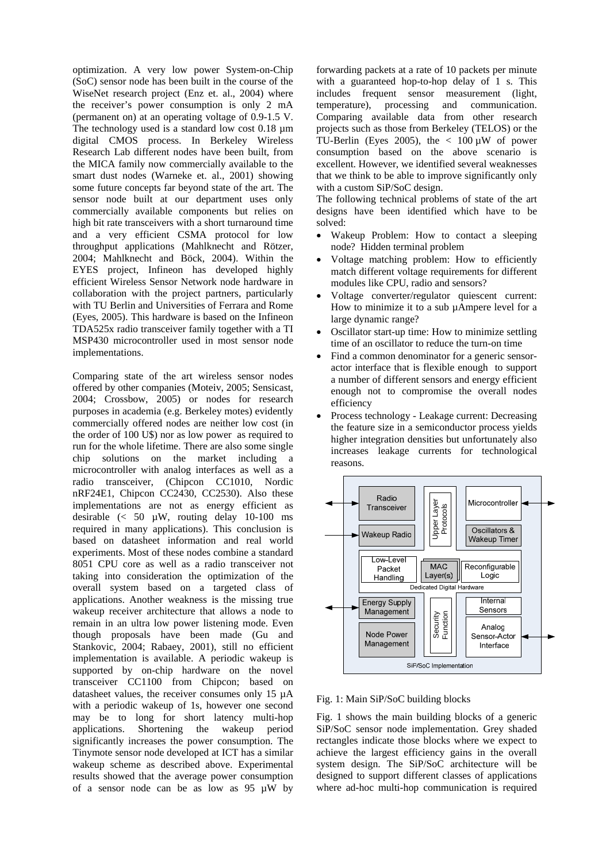optimization. A very low power System-on-Chip (SoC) sensor node has been built in the course of the WiseNet research project (Enz et. al., 2004) where the receiver's power consumption is only 2 mA (permanent on) at an operating voltage of 0.9-1.5 V. The technology used is a standard low cost 0.18  $\mu$ m digital CMOS process. In Berkeley Wireless Research Lab different nodes have been built, from the MICA family now commercially available to the smart dust nodes (Warneke et. al., 2001) showing some future concepts far beyond state of the art. The sensor node built at our department uses only commercially available components but relies on high bit rate transceivers with a short turnaround time and a very efficient CSMA protocol for low throughput applications (Mahlknecht and Rötzer, 2004; Mahlknecht and Böck, 2004). Within the EYES project, Infineon has developed highly efficient Wireless Sensor Network node hardware in collaboration with the project partners, particularly with TU Berlin and Universities of Ferrara and Rome (Eyes, 2005). This hardware is based on the Infineon TDA525x radio transceiver family together with a TI MSP430 microcontroller used in most sensor node implementations.

Comparing state of the art wireless sensor nodes offered by other companies (Moteiv, 2005; Sensicast, 2004; Crossbow, 2005) or nodes for research purposes in academia (e.g. Berkeley motes) evidently commercially offered nodes are neither low cost (in the order of 100 U\$) nor as low power as required to run for the whole lifetime. There are also some single chip solutions on the market including a microcontroller with analog interfaces as well as a radio transceiver, (Chipcon CC1010, Nordic nRF24E1, Chipcon CC2430, CC2530). Also these implementations are not as energy efficient as desirable  $\ll 50 \mu W$ , routing delay 10-100 ms required in many applications). This conclusion is based on datasheet information and real world experiments. Most of these nodes combine a standard 8051 CPU core as well as a radio transceiver not taking into consideration the optimization of the overall system based on a targeted class of applications. Another weakness is the missing true wakeup receiver architecture that allows a node to remain in an ultra low power listening mode. Even though proposals have been made (Gu and Stankovic, 2004; Rabaey, 2001), still no efficient implementation is available. A periodic wakeup is supported by on-chip hardware on the novel transceiver CC1100 from Chipcon; based on datasheet values, the receiver consumes only 15 µA with a periodic wakeup of 1s, however one second may be to long for short latency multi-hop applications. Shortening the wakeup period significantly increases the power consumption. The Tinymote sensor node developed at ICT has a similar wakeup scheme as described above. Experimental results showed that the average power consumption of a sensor node can be as low as  $95 \mu W$  by

forwarding packets at a rate of 10 packets per minute with a guaranteed hop-to-hop delay of 1 s. This includes frequent sensor measurement (light, temperature), processing and communication. Comparing available data from other research projects such as those from Berkeley (TELOS) or the TU-Berlin (Eyes 2005), the  $\langle 100 \mu W \rangle$  of power consumption based on the above scenario is excellent. However, we identified several weaknesses that we think to be able to improve significantly only with a custom SiP/SoC design.

The following technical problems of state of the art designs have been identified which have to be solved:

- Wakeup Problem: How to contact a sleeping node? Hidden terminal problem
- Voltage matching problem: How to efficiently match different voltage requirements for different modules like CPU, radio and sensors?
- Voltage converter/regulator quiescent current: How to minimize it to a sub µAmpere level for a large dynamic range?
- Oscillator start-up time: How to minimize settling time of an oscillator to reduce the turn-on time
- Find a common denominator for a generic sensoractor interface that is flexible enough to support a number of different sensors and energy efficient enough not to compromise the overall nodes efficiency
- Process technology Leakage current: Decreasing the feature size in a semiconductor process yields higher integration densities but unfortunately also increases leakage currents for technological reasons.



#### Fig. 1: Main SiP/SoC building blocks

Fig. 1 shows the main building blocks of a generic SiP/SoC sensor node implementation. Grey shaded rectangles indicate those blocks where we expect to achieve the largest efficiency gains in the overall system design. The SiP/SoC architecture will be designed to support different classes of applications where ad-hoc multi-hop communication is required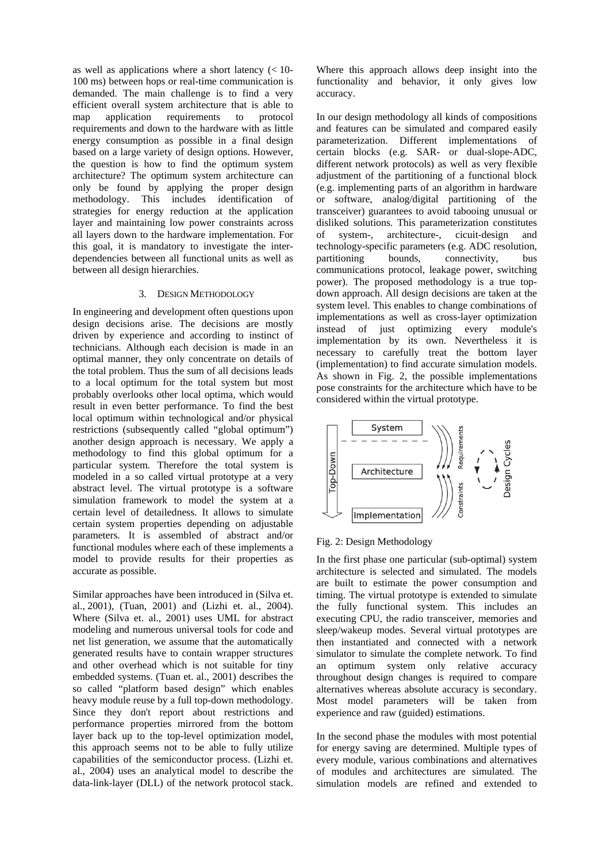as well as applications where a short latency  $(< 10$ -100 ms) between hops or real-time communication is demanded. The main challenge is to find a very efficient overall system architecture that is able to map application requirements to protocol requirements and down to the hardware with as little energy consumption as possible in a final design based on a large variety of design options. However, the question is how to find the optimum system architecture? The optimum system architecture can only be found by applying the proper design methodology. This includes identification of strategies for energy reduction at the application layer and maintaining low power constraints across all layers down to the hardware implementation. For this goal, it is mandatory to investigate the interdependencies between all functional units as well as between all design hierarchies.

### 3. DESIGN METHODOLOGY

In engineering and development often questions upon design decisions arise. The decisions are mostly driven by experience and according to instinct of technicians. Although each decision is made in an optimal manner, they only concentrate on details of the total problem. Thus the sum of all decisions leads to a local optimum for the total system but most probably overlooks other local optima, which would result in even better performance. To find the best local optimum within technological and/or physical restrictions (subsequently called "global optimum") another design approach is necessary. We apply a methodology to find this global optimum for a particular system. Therefore the total system is modeled in a so called virtual prototype at a very abstract level. The virtual prototype is a software simulation framework to model the system at a certain level of detailedness. It allows to simulate certain system properties depending on adjustable parameters. It is assembled of abstract and/or functional modules where each of these implements a model to provide results for their properties as accurate as possible.

Similar approaches have been introduced in (Silva et. al., 2001), (Tuan, 2001) and (Lizhi et. al., 2004). Where (Silva et. al., 2001) uses UML for abstract modeling and numerous universal tools for code and net list generation, we assume that the automatically generated results have to contain wrapper structures and other overhead which is not suitable for tiny embedded systems. (Tuan et. al., 2001) describes the so called "platform based design" which enables heavy module reuse by a full top-down methodology. Since they don't report about restrictions and performance properties mirrored from the bottom layer back up to the top-level optimization model, this approach seems not to be able to fully utilize capabilities of the semiconductor process. (Lizhi et. al., 2004) uses an analytical model to describe the data-link-layer (DLL) of the network protocol stack. Where this approach allows deep insight into the functionality and behavior, it only gives low accuracy.

In our design methodology all kinds of compositions and features can be simulated and compared easily parameterization. Different implementations of certain blocks (e.g. SAR- or dual-slope-ADC, different network protocols) as well as very flexible adjustment of the partitioning of a functional block (e.g. implementing parts of an algorithm in hardware or software, analog/digital partitioning of the transceiver) guarantees to avoid tabooing unusual or disliked solutions. This parameterization constitutes of system-, architecture-, cicuit-design and technology-specific parameters (e.g. ADC resolution, partitioning bounds, connectivity, bus communications protocol, leakage power, switching power). The proposed methodology is a true topdown approach. All design decisions are taken at the system level. This enables to change combinations of implementations as well as cross-layer optimization<br>instead of just optimizing every module's instead of just optimizing every module's implementation by its own. Nevertheless it is necessary to carefully treat the bottom layer (implementation) to find accurate simulation models. As shown in Fig. 2, the possible implementations pose constraints for the architecture which have to be considered within the virtual prototype.



Fig. 2: Design Methodology

In the first phase one particular (sub-optimal) system architecture is selected and simulated. The models are built to estimate the power consumption and timing. The virtual prototype is extended to simulate the fully functional system. This includes an executing CPU, the radio transceiver, memories and sleep/wakeup modes. Several virtual prototypes are then instantiated and connected with a network simulator to simulate the complete network. To find an optimum system only relative accuracy throughout design changes is required to compare alternatives whereas absolute accuracy is secondary. Most model parameters will be taken from experience and raw (guided) estimations.

In the second phase the modules with most potential for energy saving are determined. Multiple types of every module, various combinations and alternatives of modules and architectures are simulated. The simulation models are refined and extended to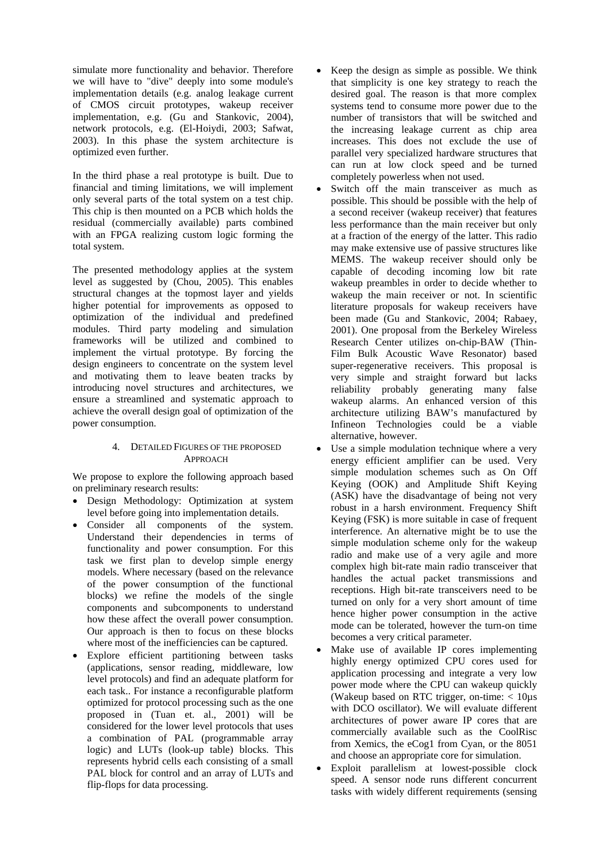simulate more functionality and behavior. Therefore we will have to "dive" deeply into some module's implementation details (e.g. analog leakage current of CMOS circuit prototypes, wakeup receiver implementation, e.g. (Gu and Stankovic, 2004), network protocols, e.g. (El-Hoiydi, 2003; Safwat, 2003). In this phase the system architecture is optimized even further.

In the third phase a real prototype is built. Due to financial and timing limitations, we will implement only several parts of the total system on a test chip. This chip is then mounted on a PCB which holds the residual (commercially available) parts combined with an FPGA realizing custom logic forming the total system.

The presented methodology applies at the system level as suggested by (Chou, 2005). This enables structural changes at the topmost layer and yields higher potential for improvements as opposed to optimization of the individual and predefined modules. Third party modeling and simulation frameworks will be utilized and combined to implement the virtual prototype. By forcing the design engineers to concentrate on the system level and motivating them to leave beaten tracks by introducing novel structures and architectures, we ensure a streamlined and systematic approach to achieve the overall design goal of optimization of the power consumption.

# 4. DETAILED FIGURES OF THE PROPOSED APPROACH

We propose to explore the following approach based on preliminary research results:

- Design Methodology: Optimization at system level before going into implementation details.
- Consider all components of the system. Understand their dependencies in terms of functionality and power consumption. For this task we first plan to develop simple energy models. Where necessary (based on the relevance of the power consumption of the functional blocks) we refine the models of the single components and subcomponents to understand how these affect the overall power consumption. Our approach is then to focus on these blocks where most of the inefficiencies can be captured.
- Explore efficient partitioning between tasks (applications, sensor reading, middleware, low level protocols) and find an adequate platform for each task.. For instance a reconfigurable platform optimized for protocol processing such as the one proposed in (Tuan et. al., 2001) will be considered for the lower level protocols that uses a combination of PAL (programmable array logic) and LUTs (look-up table) blocks. This represents hybrid cells each consisting of a small PAL block for control and an array of LUTs and flip-flops for data processing.
- Keep the design as simple as possible. We think that simplicity is one key strategy to reach the desired goal. The reason is that more complex systems tend to consume more power due to the number of transistors that will be switched and the increasing leakage current as chip area increases. This does not exclude the use of parallel very specialized hardware structures that can run at low clock speed and be turned completely powerless when not used.
- Switch off the main transceiver as much as possible. This should be possible with the help of a second receiver (wakeup receiver) that features less performance than the main receiver but only at a fraction of the energy of the latter. This radio may make extensive use of passive structures like MEMS. The wakeup receiver should only be capable of decoding incoming low bit rate wakeup preambles in order to decide whether to wakeup the main receiver or not. In scientific literature proposals for wakeup receivers have been made (Gu and Stankovic, 2004; Rabaey, 2001). One proposal from the Berkeley Wireless Research Center utilizes on-chip-BAW (Thin-Film Bulk Acoustic Wave Resonator) based super-regenerative receivers. This proposal is very simple and straight forward but lacks reliability probably generating many false wakeup alarms. An enhanced version of this architecture utilizing BAW's manufactured by Infineon Technologies could be a viable alternative, however.
- Use a simple modulation technique where a very energy efficient amplifier can be used. Very simple modulation schemes such as On Off Keying (OOK) and Amplitude Shift Keying (ASK) have the disadvantage of being not very robust in a harsh environment. Frequency Shift Keying (FSK) is more suitable in case of frequent interference. An alternative might be to use the simple modulation scheme only for the wakeup radio and make use of a very agile and more complex high bit-rate main radio transceiver that handles the actual packet transmissions and receptions. High bit-rate transceivers need to be turned on only for a very short amount of time hence higher power consumption in the active mode can be tolerated, however the turn-on time becomes a very critical parameter.
- Make use of available IP cores implementing highly energy optimized CPU cores used for application processing and integrate a very low power mode where the CPU can wakeup quickly (Wakeup based on RTC trigger, on-time:  $< 10 \mu s$ ) with DCO oscillator). We will evaluate different architectures of power aware IP cores that are commercially available such as the CoolRisc from Xemics, the eCog1 from Cyan, or the 8051 and choose an appropriate core for simulation.
- Exploit parallelism at lowest-possible clock speed. A sensor node runs different concurrent tasks with widely different requirements (sensing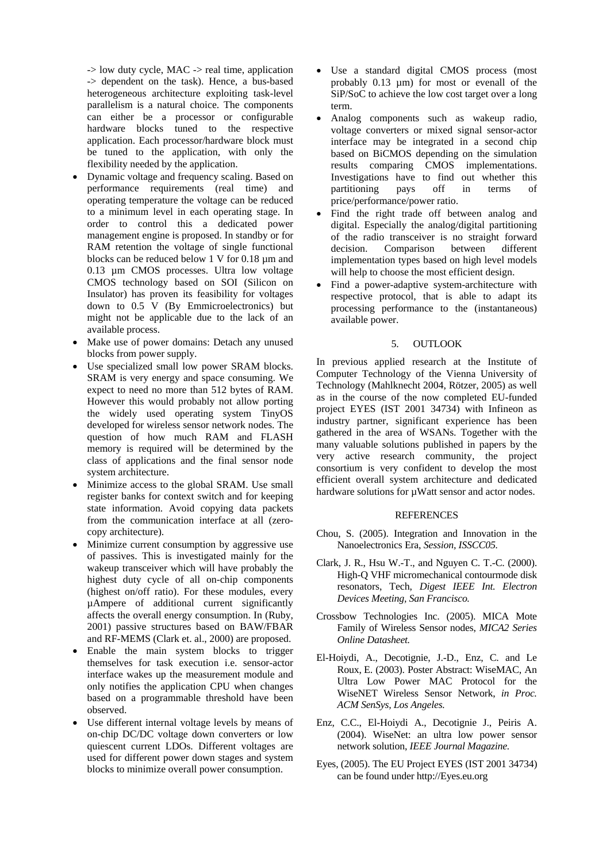-> low duty cycle, MAC -> real time, application -> dependent on the task). Hence, a bus-based heterogeneous architecture exploiting task-level parallelism is a natural choice. The components can either be a processor or configurable hardware blocks tuned to the respective application. Each processor/hardware block must be tuned to the application, with only the flexibility needed by the application.

- Dynamic voltage and frequency scaling. Based on performance requirements (real time) and operating temperature the voltage can be reduced to a minimum level in each operating stage. In order to control this a dedicated power management engine is proposed. In standby or for RAM retention the voltage of single functional blocks can be reduced below 1 V for 0.18 µm and 0.13 µm CMOS processes. Ultra low voltage CMOS technology based on SOI (Silicon on Insulator) has proven its feasibility for voltages down to 0.5 V (By Emmicroelectronics) but might not be applicable due to the lack of an available process.
- Make use of power domains: Detach any unused blocks from power supply.
- Use specialized small low power SRAM blocks. SRAM is very energy and space consuming. We expect to need no more than 512 bytes of RAM. However this would probably not allow porting the widely used operating system TinyOS developed for wireless sensor network nodes. The question of how much RAM and FLASH memory is required will be determined by the class of applications and the final sensor node system architecture.
- Minimize access to the global SRAM. Use small register banks for context switch and for keeping state information. Avoid copying data packets from the communication interface at all (zerocopy architecture).
- Minimize current consumption by aggressive use of passives. This is investigated mainly for the wakeup transceiver which will have probably the highest duty cycle of all on-chip components (highest on/off ratio). For these modules, every µAmpere of additional current significantly affects the overall energy consumption. In (Ruby, 2001) passive structures based on BAW/FBAR and RF-MEMS (Clark et. al., 2000) are proposed.
- Enable the main system blocks to trigger themselves for task execution i.e. sensor-actor interface wakes up the measurement module and only notifies the application CPU when changes based on a programmable threshold have been observed.
- Use different internal voltage levels by means of on-chip DC/DC voltage down converters or low quiescent current LDOs. Different voltages are used for different power down stages and system blocks to minimize overall power consumption.
- Use a standard digital CMOS process (most probably 0.13 µm) for most or evenall of the SiP/SoC to achieve the low cost target over a long term.
- Analog components such as wakeup radio, voltage converters or mixed signal sensor-actor interface may be integrated in a second chip based on BiCMOS depending on the simulation results comparing CMOS implementations. Investigations have to find out whether this partitioning pays off in terms of price/performance/power ratio.
- Find the right trade off between analog and digital. Especially the analog/digital partitioning of the radio transceiver is no straight forward decision. Comparison between different implementation types based on high level models will help to choose the most efficient design.
- Find a power-adaptive system-architecture with respective protocol, that is able to adapt its processing performance to the (instantaneous) available power.

## 5. OUTLOOK

In previous applied research at the Institute of Computer Technology of the Vienna University of Technology (Mahlknecht 2004, Rötzer, 2005) as well as in the course of the now completed EU-funded project EYES (IST 2001 34734) with Infineon as industry partner, significant experience has been gathered in the area of WSANs. Together with the many valuable solutions published in papers by the very active research community, the project consortium is very confident to develop the most efficient overall system architecture and dedicated hardware solutions for  $\mu$ Watt sensor and actor nodes.

### **REFERENCES**

- Chou, S. (2005). Integration and Innovation in the Nanoelectronics Era, *Session, ISSCC05.*
- Clark, J. R., Hsu W.-T., and Nguyen C. T.-C. (2000). High-Q VHF micromechanical contourmode disk resonators, Tech, *Digest IEEE Int. Electron Devices Meeting, San Francisco.*
- Crossbow Technologies Inc. (2005). MICA Mote Family of Wireless Sensor nodes, *MICA2 Series Online Datasheet.*
- El-Hoiydi, A., Decotignie, J.-D., Enz, C. and Le Roux, E. (2003). Poster Abstract: WiseMAC, An Ultra Low Power MAC Protocol for the WiseNET Wireless Sensor Network, *in Proc. ACM SenSys, Los Angeles.*
- Enz, C.C., El-Hoiydi A., Decotignie J., Peiris A. (2004). WiseNet: an ultra low power sensor network solution, *IEEE Journal Magazine.*
- Eyes, (2005). The EU Project EYES (IST 2001 34734) can be found under http://Eyes.eu.org